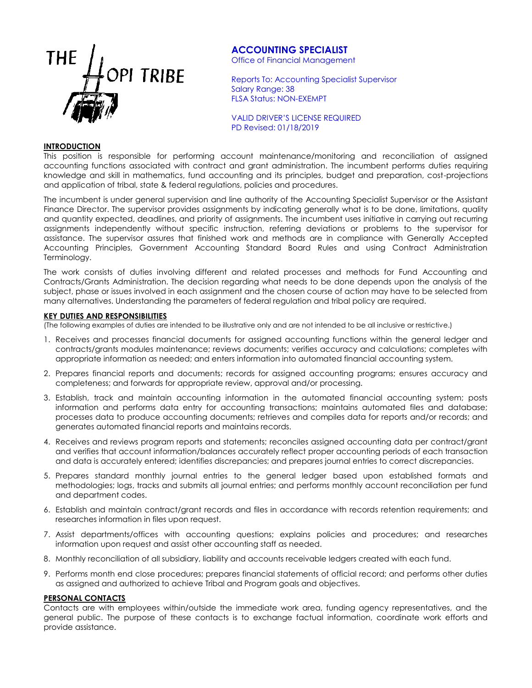

# **ACCOUNTING SPECIALIST**

Office of Financial Management

Reports To: Accounting Specialist Supervisor Salary Range: 38 FLSA Status: NON-EXEMPT

VALID DRIVER'S LICENSE REQUIRED PD Revised: 01/18/2019

## **INTRODUCTION**

This position is responsible for performing account maintenance/monitoring and reconciliation of assigned accounting functions associated with contract and grant administration. The incumbent performs duties requiring knowledge and skill in mathematics, fund accounting and its principles, budget and preparation, cost-projections and application of tribal, state & federal regulations, policies and procedures.

The incumbent is under general supervision and line authority of the Accounting Specialist Supervisor or the Assistant Finance Director. The supervisor provides assignments by indicating generally what is to be done, limitations, quality and quantity expected, deadlines, and priority of assignments. The incumbent uses initiative in carrying out recurring assignments independently without specific instruction, referring deviations or problems to the supervisor for assistance. The supervisor assures that finished work and methods are in compliance with Generally Accepted Accounting Principles, Government Accounting Standard Board Rules and using Contract Administration Terminology.

The work consists of duties involving different and related processes and methods for Fund Accounting and Contracts/Grants Administration. The decision regarding what needs to be done depends upon the analysis of the subject, phase or issues involved in each assignment and the chosen course of action may have to be selected from many alternatives. Understanding the parameters of federal regulation and tribal policy are required.

## **KEY DUTIES AND RESPONSIBILITIES**

(The following examples of duties are intended to be illustrative only and are not intended to be all inclusive or restrictive.)

- 1. Receives and processes financial documents for assigned accounting functions within the general ledger and contracts/grants modules maintenance; reviews documents; verifies accuracy and calculations; completes with appropriate information as needed; and enters information into automated financial accounting system.
- 2. Prepares financial reports and documents; records for assigned accounting programs; ensures accuracy and completeness; and forwards for appropriate review, approval and/or processing.
- 3. Establish, track and maintain accounting information in the automated financial accounting system; posts information and performs data entry for accounting transactions; maintains automated files and database; processes data to produce accounting documents; retrieves and compiles data for reports and/or records; and generates automated financial reports and maintains records.
- 4. Receives and reviews program reports and statements; reconciles assigned accounting data per contract/grant and verifies that account information/balances accurately reflect proper accounting periods of each transaction and data is accurately entered; identifies discrepancies; and prepares journal entries to correct discrepancies.
- 5. Prepares standard monthly journal entries to the general ledger based upon established formats and methodologies; logs, tracks and submits all journal entries; and performs monthly account reconciliation per fund and department codes.
- 6. Establish and maintain contract/grant records and files in accordance with records retention requirements; and researches information in files upon request.
- 7. Assist departments/offices with accounting questions; explains policies and procedures; and researches information upon request and assist other accounting staff as needed.
- 8. Monthly reconciliation of all subsidiary, liability and accounts receivable ledgers created with each fund.
- 9. Performs month end close procedures; prepares financial statements of official record; and performs other duties as assigned and authorized to achieve Tribal and Program goals and objectives.

## **PERSONAL CONTACTS**

Contacts are with employees within/outside the immediate work area, funding agency representatives, and the general public. The purpose of these contacts is to exchange factual information, coordinate work efforts and provide assistance.